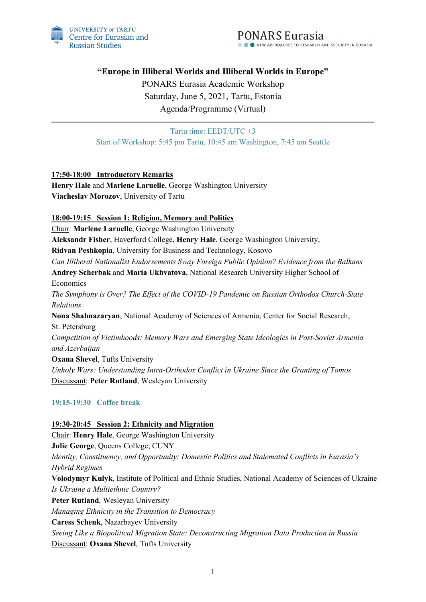

**"Europe in Illiberal Worlds and Illiberal Worlds in Europe"**

PONARS Eurasia Academic Workshop Saturday, June 5, 2021, Tartu, Estonia Agenda/Programme (Virtual)

Tartu time: EEDT/UTC +3 Start of Workshop: 5:45 pm Tartu, 10:45 am Washington, 7:45 am Seattle

# **17:50-18:00 Introductory Remarks**

**Henry Hale** and **Marlene Laruelle**, George Washington University **Viacheslav Morozov**, University of Tartu

### **18:00-19:15 Session 1: Religion, Memory and Politics**

Chair: **Marlene Laruelle**, George Washington University **Aleksandr Fisher**, Haverford College, **Henry Hale**, George Washington University, **Ridvan Peshkopia**, University for Business and Technology, Kosovo *Can Illiberal Nationalist Endorsements Sway Foreign Public Opinion? Evidence from the Balkans* **Andrey Scherbak** and **Maria Ukhvatova**, National Research University Higher School of Economics *The Symphony is Over? The Effect of the COVID-19 Pandemic on Russian Orthodox Church-State Relations* **Nona Shahnazaryan**, National Academy of Sciences of Armenia; Center for Social Research, St. Petersburg *Competition of Victimhoods: Memory Wars and Emerging State Ideologies in Post-Soviet Armenia and Azerbaijan* **Oxana Shevel**, Tufts University *Unholy Wars: Understanding Intra-Orthodox Conflict in Ukraine Since the Granting of Tomos* Discussant: **Peter Rutland**, Wesleyan University

# **19:15-19:30 Coffee break**

# **19:30-20:45 Session 2: Ethnicity and Migration** Chair: **Henry Hale**, George Washington University **Julie George**, Queens College, CUNY *Identity, Constituency, and Opportunity: Domestic Politics and Stalemated Conflicts in Eurasia's Hybrid Regimes* **Volodymyr Kulyk**, Institute of Political and Ethnic Studies, National Academy of Sciences of Ukraine *Is Ukraine a Multiethnic Country?* **Peter Rutland**, Wesleyan University *Managing Ethnicity in the Transition to Democracy* **Caress Schenk**, Nazarbayev University *Seeing Like a Biopolitical Migration State: Deconstructing Migration Data Production in Russia* Discussant: **Oxana Shevel**, Tufts University